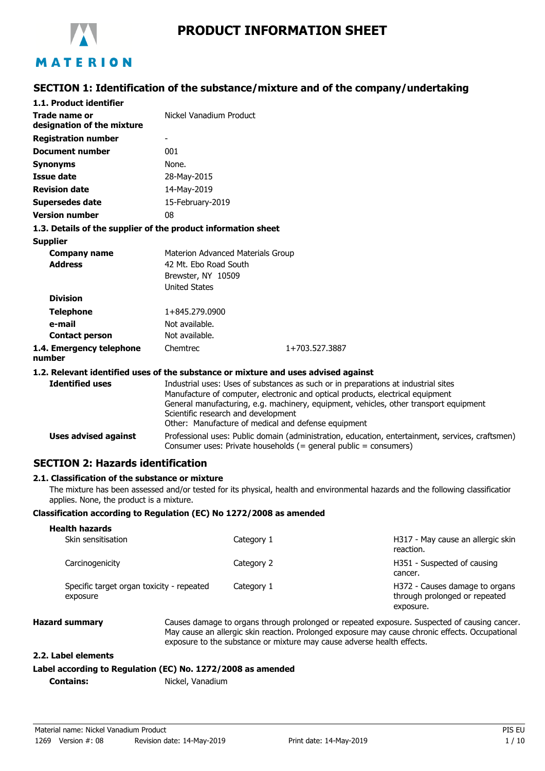

# **PRODUCT INFORMATION SHEET**

# **SECTION 1: Identification of the substance/mixture and of the company/undertaking**

| 1.1. Product identifier                                       |                                     |                                                                                                                                                                                                                                                                                                                      |  |  |
|---------------------------------------------------------------|-------------------------------------|----------------------------------------------------------------------------------------------------------------------------------------------------------------------------------------------------------------------------------------------------------------------------------------------------------------------|--|--|
| <b>Trade name or</b><br>designation of the mixture            | Nickel Vanadium Product             |                                                                                                                                                                                                                                                                                                                      |  |  |
| <b>Registration number</b>                                    |                                     |                                                                                                                                                                                                                                                                                                                      |  |  |
| <b>Document number</b>                                        | 001                                 |                                                                                                                                                                                                                                                                                                                      |  |  |
| <b>Synonyms</b>                                               | None.                               |                                                                                                                                                                                                                                                                                                                      |  |  |
| Issue date                                                    | 28-May-2015                         |                                                                                                                                                                                                                                                                                                                      |  |  |
| <b>Revision date</b>                                          | 14-May-2019                         |                                                                                                                                                                                                                                                                                                                      |  |  |
| <b>Supersedes date</b>                                        | 15-February-2019                    |                                                                                                                                                                                                                                                                                                                      |  |  |
| <b>Version number</b>                                         | 08                                  |                                                                                                                                                                                                                                                                                                                      |  |  |
| 1.3. Details of the supplier of the product information sheet |                                     |                                                                                                                                                                                                                                                                                                                      |  |  |
| <b>Supplier</b>                                               |                                     |                                                                                                                                                                                                                                                                                                                      |  |  |
| <b>Company name</b>                                           | Materion Advanced Materials Group   |                                                                                                                                                                                                                                                                                                                      |  |  |
| <b>Address</b>                                                | 42 Mt. Ebo Road South               |                                                                                                                                                                                                                                                                                                                      |  |  |
|                                                               | Brewster, NY 10509                  |                                                                                                                                                                                                                                                                                                                      |  |  |
|                                                               | <b>United States</b>                |                                                                                                                                                                                                                                                                                                                      |  |  |
| <b>Division</b>                                               |                                     |                                                                                                                                                                                                                                                                                                                      |  |  |
| <b>Telephone</b>                                              | 1+845.279.0900                      |                                                                                                                                                                                                                                                                                                                      |  |  |
| e-mail                                                        | Not available.                      |                                                                                                                                                                                                                                                                                                                      |  |  |
| <b>Contact person</b>                                         | Not available.                      |                                                                                                                                                                                                                                                                                                                      |  |  |
| 1.4. Emergency telephone<br>number                            | Chemtrec                            | 1+703.527.3887                                                                                                                                                                                                                                                                                                       |  |  |
|                                                               |                                     | 1.2. Relevant identified uses of the substance or mixture and uses advised against                                                                                                                                                                                                                                   |  |  |
| <b>Identified uses</b>                                        | Scientific research and development | Industrial uses: Uses of substances as such or in preparations at industrial sites<br>Manufacture of computer, electronic and optical products, electrical equipment<br>General manufacturing, e.g. machinery, equipment, vehicles, other transport equipment<br>Other: Manufacture of medical and defense equipment |  |  |

#### Professional uses: Public domain (administration, education, entertainment, services, craftsmen) Consumer uses: Private households (= general public = consumers) **Uses advised against**

# **SECTION 2: Hazards identification**

### **2.1. Classification of the substance or mixture**

The mixture has been assessed and/or tested for its physical, health and environmental hazards and the following classification applies. None, the product is a mixture.

### **Classification according to Regulation (EC) No 1272/2008 as amended**

| Health nazards<br>Skin sensitisation                  | Category 1 | H317 - May cause an allergic skin<br>reaction.                               |
|-------------------------------------------------------|------------|------------------------------------------------------------------------------|
| Carcinogenicity                                       | Category 2 | H351 - Suspected of causing<br>cancer.                                       |
| Specific target organ toxicity - repeated<br>exposure | Category 1 | H372 - Causes damage to organs<br>through prolonged or repeated<br>exposure. |

**Health hazards**

**Hazard summary** Causes damage to organs through prolonged or repeated exposure. Suspected of causing cancer. May cause an allergic skin reaction. Prolonged exposure may cause chronic effects. Occupational exposure to the substance or mixture may cause adverse health effects.

### **2.2. Label elements**

### **Label according to Regulation (EC) No. 1272/2008 as amended**

**Contains:** Nickel, Vanadium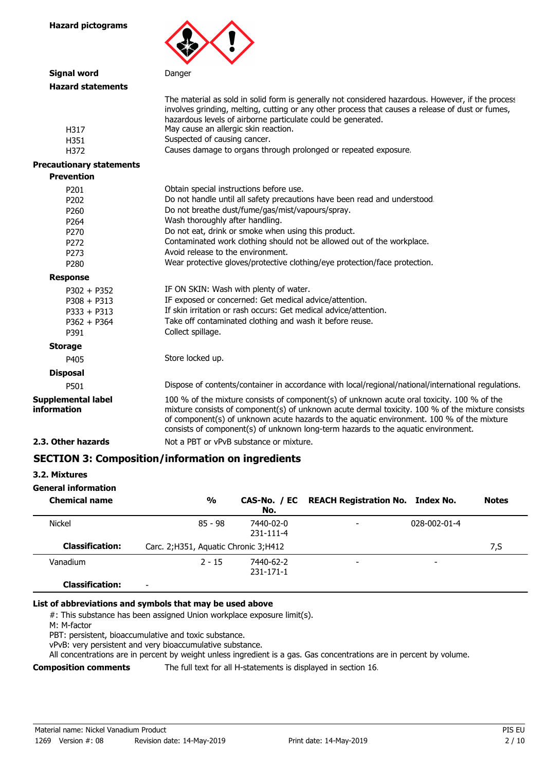

| Signal word                              | Danger                                                                                                                                                                                                                                                                                                                                                                           |
|------------------------------------------|----------------------------------------------------------------------------------------------------------------------------------------------------------------------------------------------------------------------------------------------------------------------------------------------------------------------------------------------------------------------------------|
| <b>Hazard statements</b>                 |                                                                                                                                                                                                                                                                                                                                                                                  |
|                                          | The material as sold in solid form is generally not considered hazardous. However, if the process<br>involves grinding, melting, cutting or any other process that causes a release of dust or fumes,<br>hazardous levels of airborne particulate could be generated.                                                                                                            |
| H317                                     | May cause an allergic skin reaction.                                                                                                                                                                                                                                                                                                                                             |
| H351                                     | Suspected of causing cancer.                                                                                                                                                                                                                                                                                                                                                     |
| H372                                     | Causes damage to organs through prolonged or repeated exposure.                                                                                                                                                                                                                                                                                                                  |
| <b>Precautionary statements</b>          |                                                                                                                                                                                                                                                                                                                                                                                  |
| <b>Prevention</b>                        |                                                                                                                                                                                                                                                                                                                                                                                  |
| P <sub>201</sub>                         | Obtain special instructions before use.                                                                                                                                                                                                                                                                                                                                          |
| P202                                     | Do not handle until all safety precautions have been read and understood.                                                                                                                                                                                                                                                                                                        |
| P260                                     | Do not breathe dust/fume/gas/mist/vapours/spray.                                                                                                                                                                                                                                                                                                                                 |
| P <sub>264</sub>                         | Wash thoroughly after handling.                                                                                                                                                                                                                                                                                                                                                  |
| P270                                     | Do not eat, drink or smoke when using this product.                                                                                                                                                                                                                                                                                                                              |
| P272                                     | Contaminated work clothing should not be allowed out of the workplace.                                                                                                                                                                                                                                                                                                           |
| P273                                     | Avoid release to the environment.                                                                                                                                                                                                                                                                                                                                                |
| P280                                     | Wear protective gloves/protective clothing/eye protection/face protection.                                                                                                                                                                                                                                                                                                       |
| <b>Response</b>                          |                                                                                                                                                                                                                                                                                                                                                                                  |
| $P302 + P352$                            | IF ON SKIN: Wash with plenty of water.                                                                                                                                                                                                                                                                                                                                           |
| $P308 + P313$                            | IF exposed or concerned: Get medical advice/attention.                                                                                                                                                                                                                                                                                                                           |
| $P333 + P313$                            | If skin irritation or rash occurs: Get medical advice/attention.                                                                                                                                                                                                                                                                                                                 |
| $P362 + P364$                            | Take off contaminated clothing and wash it before reuse.                                                                                                                                                                                                                                                                                                                         |
| P391                                     | Collect spillage.                                                                                                                                                                                                                                                                                                                                                                |
| <b>Storage</b>                           |                                                                                                                                                                                                                                                                                                                                                                                  |
| P405                                     | Store locked up.                                                                                                                                                                                                                                                                                                                                                                 |
| <b>Disposal</b>                          |                                                                                                                                                                                                                                                                                                                                                                                  |
| P501                                     | Dispose of contents/container in accordance with local/regional/national/international regulations.                                                                                                                                                                                                                                                                              |
| <b>Supplemental label</b><br>information | 100 % of the mixture consists of component(s) of unknown acute oral toxicity. 100 % of the<br>mixture consists of component(s) of unknown acute dermal toxicity. 100 % of the mixture consists<br>of component(s) of unknown acute hazards to the aquatic environment. 100 % of the mixture<br>consists of component(s) of unknown long-term hazards to the aquatic environment. |
| 2.3. Other hazards                       | Not a PBT or vPvB substance or mixture.                                                                                                                                                                                                                                                                                                                                          |
|                                          |                                                                                                                                                                                                                                                                                                                                                                                  |

# **SECTION 3: Composition/information on ingredients**

| 3.2. Mixtures |  |
|---------------|--|
|               |  |

# **General information**

| <b>Chemical name</b>   | $\frac{0}{0}$                          | No.                          | CAS-No. / EC REACH Registration No. Index No. |                          | <b>Notes</b> |
|------------------------|----------------------------------------|------------------------------|-----------------------------------------------|--------------------------|--------------|
| <b>Nickel</b>          | $85 - 98$                              | 7440-02-0<br>231-111-4       | -                                             | 028-002-01-4             |              |
| <b>Classification:</b> | Carc. 2; H351, Aguatic Chronic 3; H412 |                              |                                               |                          | 7,S          |
| Vanadium               | $2 - 15$                               | 7440-62-2<br>$231 - 171 - 1$ | -                                             | $\overline{\phantom{a}}$ |              |
| <b>Classification:</b> | $\overline{\phantom{0}}$               |                              |                                               |                          |              |

### **List of abbreviations and symbols that may be used above**

#: This substance has been assigned Union workplace exposure limit(s).

M: M-factor

PBT: persistent, bioaccumulative and toxic substance.

vPvB: very persistent and very bioaccumulative substance.

All concentrations are in percent by weight unless ingredient is a gas. Gas concentrations are in percent by volume.

**Composition comments** The full text for all H-statements is displayed in section 16.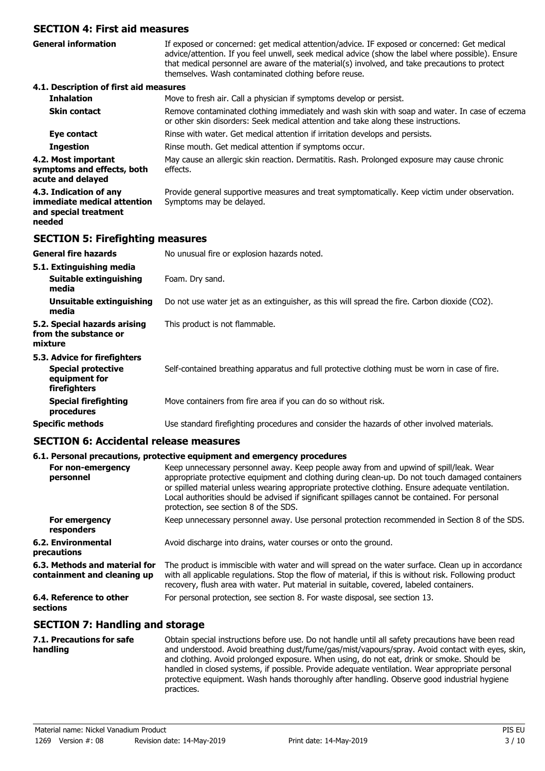# **SECTION 4: First aid measures**

If exposed or concerned: get medical attention/advice. IF exposed or concerned: Get medical advice/attention. If you feel unwell, seek medical advice (show the label where possible). Ensure that medical personnel are aware of the material(s) involved, and take precautions to protect themselves. Wash contaminated clothing before reuse. **General information 4.1. Description of first aid measures Inhalation** Move to fresh air. Call a physician if symptoms develop or persist. Remove contaminated clothing immediately and wash skin with soap and water. In case of eczema or other skin disorders: Seek medical attention and take along these instructions. **Skin contact Eye contact** Rinse with water. Get medical attention if irritation develops and persists. **Ingestion** Rinse mouth. Get medical attention if symptoms occur. May cause an allergic skin reaction. Dermatitis. Rash. Prolonged exposure may cause chronic effects. **4.2. Most important symptoms and effects, both acute and delayed** Provide general supportive measures and treat symptomatically. Keep victim under observation. Symptoms may be delayed. **4.3. Indication of any immediate medical attention and special treatment needed SECTION 5: Firefighting measures General fire hazards** No unusual fire or explosion hazards noted. **5.1. Extinguishing media Suitable extinguishing** Foam. Dry sand. **media Unsuitable extinguishing** Do not use water jet as an extinguisher, as this will spread the fire. Carbon dioxide (CO2). **media 5.2. Special hazards arising** This product is not flammable. **from the substance or mixture 5.3. Advice for firefighters Special protective** Self-contained breathing apparatus and full protective clothing must be worn in case of fire. **equipment for firefighters Special firefighting** Move containers from fire area if you can do so without risk. **procedures Specific methods** Use standard firefighting procedures and consider the hazards of other involved materials.

**SECTION 6: Accidental release measures**

### **6.1. Personal precautions, protective equipment and emergency procedures**

| For non-emergency<br>personnel                               | Keep unnecessary personnel away. Keep people away from and upwind of spill/leak. Wear<br>appropriate protective equipment and clothing during clean-up. Do not touch damaged containers<br>or spilled material unless wearing appropriate protective clothing. Ensure adequate ventilation.<br>Local authorities should be advised if significant spillages cannot be contained. For personal<br>protection, see section 8 of the SDS. |
|--------------------------------------------------------------|----------------------------------------------------------------------------------------------------------------------------------------------------------------------------------------------------------------------------------------------------------------------------------------------------------------------------------------------------------------------------------------------------------------------------------------|
| For emergency<br>responders                                  | Keep unnecessary personnel away. Use personal protection recommended in Section 8 of the SDS.                                                                                                                                                                                                                                                                                                                                          |
| 6.2. Environmental<br>precautions                            | Avoid discharge into drains, water courses or onto the ground.                                                                                                                                                                                                                                                                                                                                                                         |
| 6.3. Methods and material for<br>containment and cleaning up | The product is immiscible with water and will spread on the water surface. Clean up in accordance<br>with all applicable regulations. Stop the flow of material, if this is without risk. Following product<br>recovery, flush area with water. Put material in suitable, covered, labeled containers.                                                                                                                                 |
| 6.4. Reference to other<br>sections                          | For personal protection, see section 8. For waste disposal, see section 13.                                                                                                                                                                                                                                                                                                                                                            |

## **SECTION 7: Handling and storage**

| 7.1. Precautions for safe<br>handling | Obtain special instructions before use. Do not handle until all safety precautions have been read<br>and understood. Avoid breathing dust/fume/gas/mist/vapours/spray. Avoid contact with eyes, skin,<br>and clothing. Avoid prolonged exposure. When using, do not eat, drink or smoke. Should be<br>handled in closed systems, if possible. Provide adequate ventilation. Wear appropriate personal<br>protective equipment. Wash hands thoroughly after handling. Observe good industrial hygiene<br>practices. |
|---------------------------------------|--------------------------------------------------------------------------------------------------------------------------------------------------------------------------------------------------------------------------------------------------------------------------------------------------------------------------------------------------------------------------------------------------------------------------------------------------------------------------------------------------------------------|
|                                       |                                                                                                                                                                                                                                                                                                                                                                                                                                                                                                                    |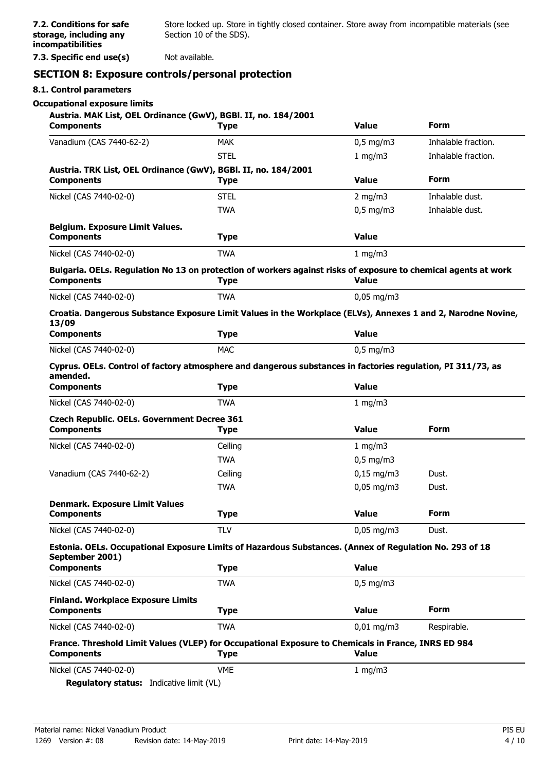**7.2. Conditions for safe storage, including any incompatibilities**

**7.3. Specific end use(s)** Not available.

# **SECTION 8: Exposure controls/personal protection**

### **8.1. Control parameters**

### **Occupational exposure limits**

| Austria. MAK List, OEL Ordinance (GwV), BGBl. II, no. 184/2001<br><b>Components</b> | <b>Type</b>                                                                                                                   | <b>Value</b>                   | <b>Form</b>         |
|-------------------------------------------------------------------------------------|-------------------------------------------------------------------------------------------------------------------------------|--------------------------------|---------------------|
| Vanadium (CAS 7440-62-2)                                                            | <b>MAK</b>                                                                                                                    | $0,5$ mg/m3                    | Inhalable fraction. |
|                                                                                     | <b>STEL</b>                                                                                                                   | 1 mg/m3                        | Inhalable fraction. |
| Austria. TRK List, OEL Ordinance (GwV), BGBI. II, no. 184/2001<br><b>Components</b> | <b>Type</b>                                                                                                                   | <b>Value</b>                   | <b>Form</b>         |
| Nickel (CAS 7440-02-0)                                                              | <b>STEL</b>                                                                                                                   | $2$ mg/m $3$                   | Inhalable dust.     |
|                                                                                     | <b>TWA</b>                                                                                                                    | $0.5$ mg/m $3$                 | Inhalable dust.     |
| <b>Belgium. Exposure Limit Values.</b><br><b>Components</b>                         | <b>Type</b>                                                                                                                   | <b>Value</b>                   |                     |
| Nickel (CAS 7440-02-0)                                                              | <b>TWA</b>                                                                                                                    | 1 mg/m3                        |                     |
| <b>Components</b>                                                                   | Bulgaria. OELs. Regulation No 13 on protection of workers against risks of exposure to chemical agents at work<br><b>Type</b> | <b>Value</b>                   |                     |
| Nickel (CAS 7440-02-0)                                                              | <b>TWA</b>                                                                                                                    | $0,05 \,\mathrm{mg/m}$         |                     |
| 13/09                                                                               | Croatia. Dangerous Substance Exposure Limit Values in the Workplace (ELVs), Annexes 1 and 2, Narodne Novine,                  |                                |                     |
| <b>Components</b>                                                                   | <b>Type</b>                                                                                                                   | <b>Value</b>                   |                     |
| Nickel (CAS 7440-02-0)                                                              | <b>MAC</b>                                                                                                                    | $0,5$ mg/m3                    |                     |
| amended.                                                                            | Cyprus. OELs. Control of factory atmosphere and dangerous substances in factories regulation, PI 311/73, as                   |                                |                     |
| <b>Components</b>                                                                   | <b>Type</b>                                                                                                                   | <b>Value</b>                   |                     |
| Nickel (CAS 7440-02-0)                                                              | <b>TWA</b>                                                                                                                    | 1 mg/m3                        |                     |
| <b>Czech Republic. OELs. Government Decree 361</b><br><b>Components</b>             | <b>Type</b>                                                                                                                   | <b>Value</b>                   | Form                |
| Nickel (CAS 7440-02-0)                                                              | Ceiling                                                                                                                       | 1 mg/m $3$                     |                     |
|                                                                                     | <b>TWA</b>                                                                                                                    | $0,5$ mg/m3                    |                     |
| Vanadium (CAS 7440-62-2)                                                            | Ceiling                                                                                                                       | $0,15 \text{ mg/m}$ 3          | Dust.               |
|                                                                                     | <b>TWA</b>                                                                                                                    | $0,05$ mg/m3                   | Dust.               |
| <b>Denmark. Exposure Limit Values</b><br><b>Components</b>                          | <b>Type</b>                                                                                                                   | <b>Value</b>                   | Form                |
| Nickel (CAS 7440-02-0)                                                              | <b>TLV</b>                                                                                                                    | $0,05 \text{ mg/m}$ 3<br>Dust. |                     |
| September 2001)                                                                     | Estonia. OELs. Occupational Exposure Limits of Hazardous Substances. (Annex of Regulation No. 293 of 18                       |                                |                     |
| <b>Components</b>                                                                   | <b>Type</b>                                                                                                                   | <b>Value</b>                   |                     |
| Nickel (CAS 7440-02-0)                                                              | <b>TWA</b>                                                                                                                    | $0,5$ mg/m3                    |                     |
| <b>Finland. Workplace Exposure Limits</b><br><b>Components</b>                      | <b>Type</b>                                                                                                                   | <b>Value</b>                   | Form                |
| Nickel (CAS 7440-02-0)                                                              | <b>TWA</b>                                                                                                                    | $0,01$ mg/m3                   | Respirable.         |
| <b>Components</b>                                                                   | France. Threshold Limit Values (VLEP) for Occupational Exposure to Chemicals in France, INRS ED 984<br><b>Type</b>            | <b>Value</b>                   |                     |
| Nickel (CAS 7440-02-0)                                                              | <b>VME</b>                                                                                                                    | 1 mg/m $3$                     |                     |
| Regulatory status: Indicative limit (VL)                                            |                                                                                                                               |                                |                     |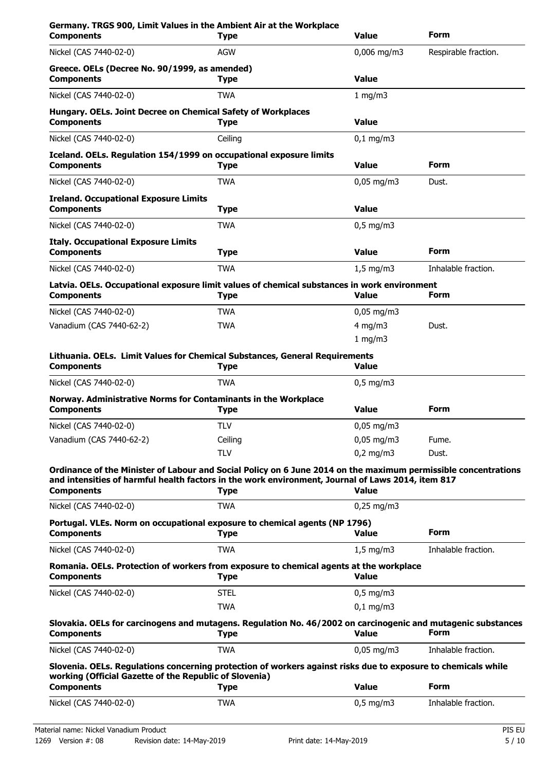| Germany. TRGS 900, Limit Values in the Ambient Air at the Workplace<br><b>Components</b>                                                                                                                                                 | <b>Type</b> | Value                  | Form                 |
|------------------------------------------------------------------------------------------------------------------------------------------------------------------------------------------------------------------------------------------|-------------|------------------------|----------------------|
| Nickel (CAS 7440-02-0)                                                                                                                                                                                                                   | <b>AGW</b>  | $0,006$ mg/m3          | Respirable fraction. |
| Greece. OELs (Decree No. 90/1999, as amended)<br><b>Components</b>                                                                                                                                                                       | <b>Type</b> | <b>Value</b>           |                      |
| Nickel (CAS 7440-02-0)                                                                                                                                                                                                                   | <b>TWA</b>  | 1 mg/m3                |                      |
| Hungary. OELs. Joint Decree on Chemical Safety of Workplaces<br><b>Components</b>                                                                                                                                                        | <b>Type</b> | <b>Value</b>           |                      |
| Nickel (CAS 7440-02-0)                                                                                                                                                                                                                   | Ceiling     | $0,1$ mg/m3            |                      |
| Iceland. OELs. Regulation 154/1999 on occupational exposure limits<br><b>Components</b>                                                                                                                                                  | <b>Type</b> | <b>Value</b>           | <b>Form</b>          |
| Nickel (CAS 7440-02-0)                                                                                                                                                                                                                   | <b>TWA</b>  | $0,05$ mg/m3           | Dust.                |
| <b>Ireland. Occupational Exposure Limits</b><br><b>Components</b>                                                                                                                                                                        | <b>Type</b> | <b>Value</b>           |                      |
| Nickel (CAS 7440-02-0)                                                                                                                                                                                                                   | <b>TWA</b>  | $0.5$ mg/m3            |                      |
| <b>Italy. Occupational Exposure Limits</b><br><b>Components</b>                                                                                                                                                                          | <b>Type</b> | <b>Value</b>           | <b>Form</b>          |
| Nickel (CAS 7440-02-0)                                                                                                                                                                                                                   | <b>TWA</b>  | $1.5$ mg/m $3$         | Inhalable fraction.  |
| Latvia. OELs. Occupational exposure limit values of chemical substances in work environment<br><b>Components</b>                                                                                                                         | <b>Type</b> | <b>Value</b>           | <b>Form</b>          |
| Nickel (CAS 7440-02-0)                                                                                                                                                                                                                   | TWA         | $0,05 \,\mathrm{mg/m}$ |                      |
| Vanadium (CAS 7440-62-2)                                                                                                                                                                                                                 | <b>TWA</b>  | $4$ mg/m $3$           | Dust.                |
|                                                                                                                                                                                                                                          |             | 1 mg/m $3$             |                      |
| Lithuania. OELs. Limit Values for Chemical Substances, General Requirements<br><b>Components</b>                                                                                                                                         | Type        | <b>Value</b>           |                      |
| Nickel (CAS 7440-02-0)                                                                                                                                                                                                                   | <b>TWA</b>  | $0,5$ mg/m3            |                      |
| Norway. Administrative Norms for Contaminants in the Workplace<br><b>Components</b>                                                                                                                                                      | <b>Type</b> | <b>Value</b>           | Form                 |
| Nickel (CAS 7440-02-0)                                                                                                                                                                                                                   | <b>TLV</b>  | $0,05$ mg/m3           |                      |
| Vanadium (CAS 7440-62-2)                                                                                                                                                                                                                 | Ceiling     | $0,05$ mg/m3           | Fume.                |
|                                                                                                                                                                                                                                          | <b>TLV</b>  | $0,2$ mg/m3            | Dust.                |
| Ordinance of the Minister of Labour and Social Policy on 6 June 2014 on the maximum permissible concentrations<br>and intensities of harmful health factors in the work environment, Journal of Laws 2014, item 817<br><b>Components</b> |             | <b>Value</b>           |                      |
| Nickel (CAS 7440-02-0)                                                                                                                                                                                                                   | <b>Type</b> | $0,25 \text{ mg/m}$ 3  |                      |
|                                                                                                                                                                                                                                          | <b>TWA</b>  |                        |                      |
| Portugal. VLEs. Norm on occupational exposure to chemical agents (NP 1796)<br><b>Components</b>                                                                                                                                          | <b>Type</b> | <b>Value</b>           | Form                 |
| Nickel (CAS 7440-02-0)                                                                                                                                                                                                                   | <b>TWA</b>  | $1,5 \text{ mg/m}$     | Inhalable fraction.  |
| Romania. OELs. Protection of workers from exposure to chemical agents at the workplace<br><b>Components</b>                                                                                                                              | <b>Type</b> | <b>Value</b>           |                      |
| Nickel (CAS 7440-02-0)                                                                                                                                                                                                                   | <b>STEL</b> | $0,5$ mg/m3            |                      |
|                                                                                                                                                                                                                                          | <b>TWA</b>  | $0,1$ mg/m3            |                      |
| Slovakia. OELs for carcinogens and mutagens. Regulation No. 46/2002 on carcinogenic and mutagenic substances<br><b>Components</b>                                                                                                        | <b>Type</b> | <b>Value</b>           | Form                 |
| Nickel (CAS 7440-02-0)                                                                                                                                                                                                                   | <b>TWA</b>  | $0,05$ mg/m3           | Inhalable fraction.  |
| Slovenia. OELs. Regulations concerning protection of workers against risks due to exposure to chemicals while<br>working (Official Gazette of the Republic of Slovenia)                                                                  |             |                        |                      |
| <b>Components</b>                                                                                                                                                                                                                        | <b>Type</b> | <b>Value</b>           | Form                 |
| Nickel (CAS 7440-02-0)                                                                                                                                                                                                                   | <b>TWA</b>  | $0,5$ mg/m3            | Inhalable fraction.  |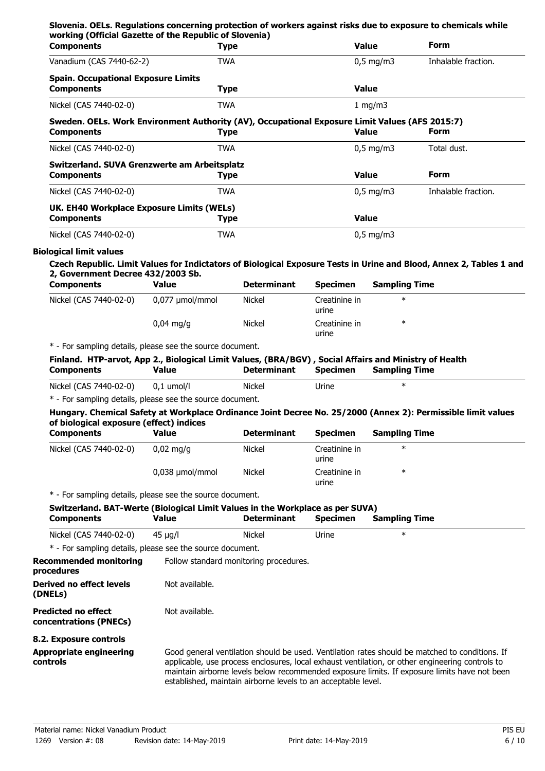| <b>Components</b>                                                                                                                                                                                                                         | <b>Type</b>     |                                        |                                 | <b>Value</b>         | <b>Form</b>                                                                                    |
|-------------------------------------------------------------------------------------------------------------------------------------------------------------------------------------------------------------------------------------------|-----------------|----------------------------------------|---------------------------------|----------------------|------------------------------------------------------------------------------------------------|
| Vanadium (CAS 7440-62-2)                                                                                                                                                                                                                  | <b>TWA</b>      |                                        |                                 | $0,5$ mg/m3          | Inhalable fraction.                                                                            |
| <b>Spain. Occupational Exposure Limits</b><br><b>Components</b>                                                                                                                                                                           | <b>Type</b>     |                                        |                                 | <b>Value</b>         |                                                                                                |
| Nickel (CAS 7440-02-0)                                                                                                                                                                                                                    | <b>TWA</b>      |                                        |                                 | 1 mg/m3              |                                                                                                |
| Sweden. OELs. Work Environment Authority (AV), Occupational Exposure Limit Values (AFS 2015:7)<br><b>Components</b>                                                                                                                       | <b>Type</b>     |                                        |                                 | <b>Value</b>         | Form                                                                                           |
| Nickel (CAS 7440-02-0)                                                                                                                                                                                                                    | <b>TWA</b>      |                                        |                                 | $0,5$ mg/m3          | Total dust.                                                                                    |
| Switzerland. SUVA Grenzwerte am Arbeitsplatz<br><b>Components</b>                                                                                                                                                                         | <b>Type</b>     |                                        |                                 | <b>Value</b>         | <b>Form</b>                                                                                    |
| Nickel (CAS 7440-02-0)                                                                                                                                                                                                                    | <b>TWA</b>      |                                        |                                 | $0,5$ mg/m3          | Inhalable fraction.                                                                            |
| UK. EH40 Workplace Exposure Limits (WELs)<br><b>Components</b>                                                                                                                                                                            | <b>Type</b>     |                                        |                                 | <b>Value</b>         |                                                                                                |
| Nickel (CAS 7440-02-0)                                                                                                                                                                                                                    | <b>TWA</b>      |                                        |                                 | $0,5$ mg/m3          |                                                                                                |
| Czech Republic. Limit Values for Indictators of Biological Exposure Tests in Urine and Blood, Annex 2, Tables 1 and<br>2, Government Decree 432/2003 Sb.<br><b>Components</b>                                                             | <b>Value</b>    | <b>Determinant</b>                     | <b>Specimen</b>                 | <b>Sampling Time</b> |                                                                                                |
| Nickel (CAS 7440-02-0)                                                                                                                                                                                                                    | 0,077 µmol/mmol | <b>Nickel</b>                          | Creatinine in<br>urine          | $\ast$               |                                                                                                |
|                                                                                                                                                                                                                                           | $0,04$ mg/g     | <b>Nickel</b>                          | Creatinine in<br>urine          | $\ast$               |                                                                                                |
| * - For sampling details, please see the source document.<br>Finland. HTP-arvot, App 2., Biological Limit Values, (BRA/BGV), Social Affairs and Ministry of Health<br><b>Components</b>                                                   | <b>Value</b>    | <b>Determinant</b>                     | <b>Specimen</b>                 | <b>Sampling Time</b> |                                                                                                |
| Nickel (CAS 7440-02-0)                                                                                                                                                                                                                    | $0,1$ umol/l    | <b>Nickel</b>                          | Urine                           | $\ast$               |                                                                                                |
| * - For sampling details, please see the source document.<br>Hungary. Chemical Safety at Workplace Ordinance Joint Decree No. 25/2000 (Annex 2): Permissible limit values<br>of biological exposure (effect) indices<br><b>Components</b> | <b>Value</b>    | <b>Determinant</b>                     | <b>Specimen</b>                 | <b>Sampling Time</b> |                                                                                                |
| Nickel (CAS 7440-02-0)                                                                                                                                                                                                                    | $0,02$ mg/g     | <b>Nickel</b>                          | Creatinine in                   | $\ast$               |                                                                                                |
|                                                                                                                                                                                                                                           | 0,038 µmol/mmol | Nickel                                 | urine<br>Creatinine in<br>urine | $\ast$               |                                                                                                |
| * - For sampling details, please see the source document.                                                                                                                                                                                 |                 |                                        |                                 |                      |                                                                                                |
| Switzerland. BAT-Werte (Biological Limit Values in the Workplace as per SUVA)<br><b>Components</b>                                                                                                                                        | Value           | <b>Determinant</b>                     | <b>Specimen</b>                 | <b>Sampling Time</b> |                                                                                                |
| Nickel (CAS 7440-02-0)                                                                                                                                                                                                                    | $45 \mu g/l$    | <b>Nickel</b>                          | Urine                           | $\ast$               |                                                                                                |
| * - For sampling details, please see the source document.<br><b>Recommended monitoring</b>                                                                                                                                                |                 |                                        |                                 |                      |                                                                                                |
| procedures                                                                                                                                                                                                                                |                 | Follow standard monitoring procedures. |                                 |                      |                                                                                                |
| Derived no effect levels<br>(DNELs)                                                                                                                                                                                                       | Not available.  |                                        |                                 |                      |                                                                                                |
| <b>Predicted no effect</b><br>concentrations (PNECs)                                                                                                                                                                                      | Not available.  |                                        |                                 |                      |                                                                                                |
| 8.2. Exposure controls                                                                                                                                                                                                                    |                 |                                        |                                 |                      |                                                                                                |
| <b>Appropriate engineering</b>                                                                                                                                                                                                            |                 |                                        |                                 |                      | Good general ventilation should be used. Ventilation rates should be matched to conditions. If |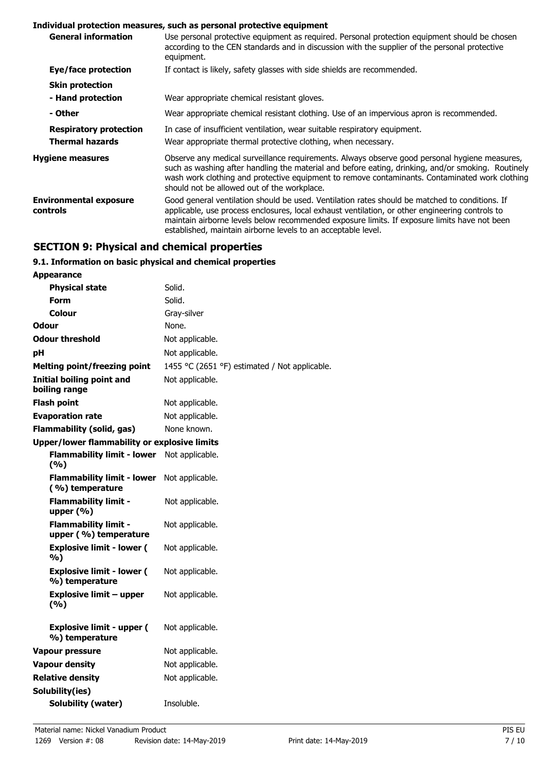### **Individual protection measures, such as personal protective equipment**

| <b>General information</b>                | Use personal protective equipment as required. Personal protection equipment should be chosen<br>according to the CEN standards and in discussion with the supplier of the personal protective<br>equipment.                                                                                                                                                       |
|-------------------------------------------|--------------------------------------------------------------------------------------------------------------------------------------------------------------------------------------------------------------------------------------------------------------------------------------------------------------------------------------------------------------------|
| Eye/face protection                       | If contact is likely, safety glasses with side shields are recommended.                                                                                                                                                                                                                                                                                            |
| <b>Skin protection</b>                    |                                                                                                                                                                                                                                                                                                                                                                    |
| - Hand protection                         | Wear appropriate chemical resistant gloves.                                                                                                                                                                                                                                                                                                                        |
| - Other                                   | Wear appropriate chemical resistant clothing. Use of an impervious apron is recommended.                                                                                                                                                                                                                                                                           |
| <b>Respiratory protection</b>             | In case of insufficient ventilation, wear suitable respiratory equipment.                                                                                                                                                                                                                                                                                          |
| <b>Thermal hazards</b>                    | Wear appropriate thermal protective clothing, when necessary.                                                                                                                                                                                                                                                                                                      |
| <b>Hygiene measures</b>                   | Observe any medical surveillance requirements. Always observe good personal hygiene measures,<br>such as washing after handling the material and before eating, drinking, and/or smoking. Routinely<br>wash work clothing and protective equipment to remove contaminants. Contaminated work clothing<br>should not be allowed out of the workplace.               |
| <b>Environmental exposure</b><br>controls | Good general ventilation should be used. Ventilation rates should be matched to conditions. If<br>applicable, use process enclosures, local exhaust ventilation, or other engineering controls to<br>maintain airborne levels below recommended exposure limits. If exposure limits have not been<br>established, maintain airborne levels to an acceptable level. |

# **SECTION 9: Physical and chemical properties**

# **9.1. Information on basic physical and chemical properties**

| <b>Appearance</b>                                    |                                               |
|------------------------------------------------------|-----------------------------------------------|
| <b>Physical state</b>                                | Solid.                                        |
| Form                                                 | Solid.                                        |
| Colour                                               | Gray-silver                                   |
| Odour                                                | None.                                         |
| <b>Odour threshold</b>                               | Not applicable.                               |
| рH                                                   | Not applicable.                               |
| <b>Melting point/freezing point</b>                  | 1455 °C (2651 °F) estimated / Not applicable. |
| <b>Initial boiling point and</b><br>boiling range    | Not applicable.                               |
| <b>Flash point</b>                                   | Not applicable.                               |
| <b>Evaporation rate</b>                              | Not applicable.                               |
| <b>Flammability (solid, gas)</b>                     | None known.                                   |
| Upper/lower flammability or explosive limits         |                                               |
| <b>Flammability limit - lower</b><br>(%)             | Not applicable.                               |
| <b>Flammability limit - lower</b><br>(%) temperature | Not applicable.                               |
| <b>Flammability limit -</b><br>upper $(\% )$         | Not applicable.                               |
| <b>Flammability limit -</b><br>upper (%) temperature | Not applicable.                               |
| <b>Explosive limit - lower (</b><br>%)               | Not applicable.                               |
| <b>Explosive limit - lower (</b><br>%) temperature   | Not applicable.                               |
| Explosive limit – upper<br>(%)                       | Not applicable.                               |
| <b>Explosive limit - upper (</b><br>%) temperature   | Not applicable.                               |
| <b>Vapour pressure</b>                               | Not applicable.                               |
| <b>Vapour density</b>                                | Not applicable.                               |
| <b>Relative density</b>                              | Not applicable.                               |
| Solubility(ies)                                      |                                               |
| Solubility (water)                                   | Insoluble.                                    |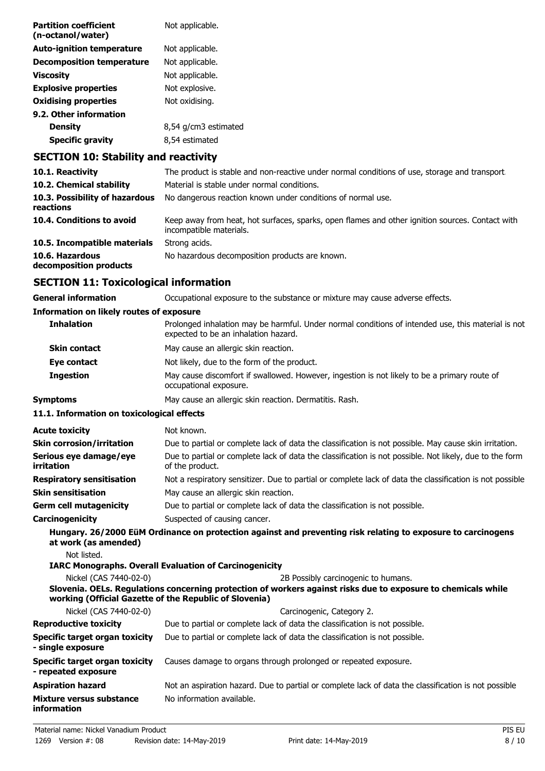| <b>Partition coefficient</b><br>(n-octanol/water) | Not applicable.      |
|---------------------------------------------------|----------------------|
| <b>Auto-ignition temperature</b>                  | Not applicable.      |
| <b>Decomposition temperature</b>                  | Not applicable.      |
| Viscosity                                         | Not applicable.      |
| <b>Explosive properties</b>                       | Not explosive.       |
| <b>Oxidising properties</b>                       | Not oxidising.       |
| 9.2. Other information                            |                      |
| <b>Density</b>                                    | 8,54 g/cm3 estimated |
| <b>Specific gravity</b>                           | 8,54 estimated       |
|                                                   |                      |

# **SECTION 10: Stability and reactivity**

| 10.1. Reactivity                            | The product is stable and non-reactive under normal conditions of use, storage and transport                               |
|---------------------------------------------|----------------------------------------------------------------------------------------------------------------------------|
| 10.2. Chemical stability                    | Material is stable under normal conditions.                                                                                |
| 10.3. Possibility of hazardous<br>reactions | No dangerous reaction known under conditions of normal use.                                                                |
| 10.4. Conditions to avoid                   | Keep away from heat, hot surfaces, sparks, open flames and other ignition sources. Contact with<br>incompatible materials. |
| 10.5. Incompatible materials                | Strong acids.                                                                                                              |
| 10.6. Hazardous<br>decomposition products   | No hazardous decomposition products are known.                                                                             |

# **SECTION 11: Toxicological information**

| General information                      | Occupational exposure to the substance or mixture may cause adverse effects.                                                               |
|------------------------------------------|--------------------------------------------------------------------------------------------------------------------------------------------|
| Information on likely routes of exposure |                                                                                                                                            |
| <b>Inhalation</b>                        | Prolonged inhalation may be harmful. Under normal conditions of intended use, this material is not<br>expected to be an inhalation hazard. |
| <b>Skin contact</b>                      | May cause an allergic skin reaction.                                                                                                       |
| Eye contact                              | Not likely, due to the form of the product.                                                                                                |
| <b>Ingestion</b>                         | May cause discomfort if swallowed. However, ingestion is not likely to be a primary route of<br>occupational exposure.                     |
|                                          |                                                                                                                                            |

**Symptoms** May cause an allergic skin reaction. Dermatitis. Rash.

# **11.1. Information on toxicological effects**

| <b>Acute toxicity</b>                                  | Not known.                                                                                                                                                                    |
|--------------------------------------------------------|-------------------------------------------------------------------------------------------------------------------------------------------------------------------------------|
| <b>Skin corrosion/irritation</b>                       | Due to partial or complete lack of data the classification is not possible. May cause skin irritation.                                                                        |
| Serious eye damage/eye<br>irritation                   | Due to partial or complete lack of data the classification is not possible. Not likely, due to the form<br>of the product.                                                    |
| <b>Respiratory sensitisation</b>                       | Not a respiratory sensitizer. Due to partial or complete lack of data the classification is not possible                                                                      |
| <b>Skin sensitisation</b>                              | May cause an allergic skin reaction.                                                                                                                                          |
| <b>Germ cell mutagenicity</b>                          | Due to partial or complete lack of data the classification is not possible.                                                                                                   |
| Carcinogenicity                                        | Suspected of causing cancer.                                                                                                                                                  |
| at work (as amended)<br>Not listed.                    | Hungary. 26/2000 EüM Ordinance on protection against and preventing risk relating to exposure to carcinogens<br><b>IARC Monographs. Overall Evaluation of Carcinogenicity</b> |
| Nickel (CAS 7440-02-0)                                 | 2B Possibly carcinogenic to humans.                                                                                                                                           |
| working (Official Gazette of the Republic of Slovenia) | Slovenia. OELs. Regulations concerning protection of workers against risks due to exposure to chemicals while                                                                 |
| Nickel (CAS 7440-02-0)                                 | Carcinogenic, Category 2.                                                                                                                                                     |
| <b>Reproductive toxicity</b>                           | Due to partial or complete lack of data the classification is not possible.                                                                                                   |
| Specific target organ toxicity<br>- single exposure    | Due to partial or complete lack of data the classification is not possible.                                                                                                   |
| Specific target organ toxicity<br>- repeated exposure  | Causes damage to organs through prolonged or repeated exposure.                                                                                                               |
| <b>Aspiration hazard</b>                               | Not an aspiration hazard. Due to partial or complete lack of data the classification is not possible                                                                          |
| Mixture versus substance<br>information                | No information available.                                                                                                                                                     |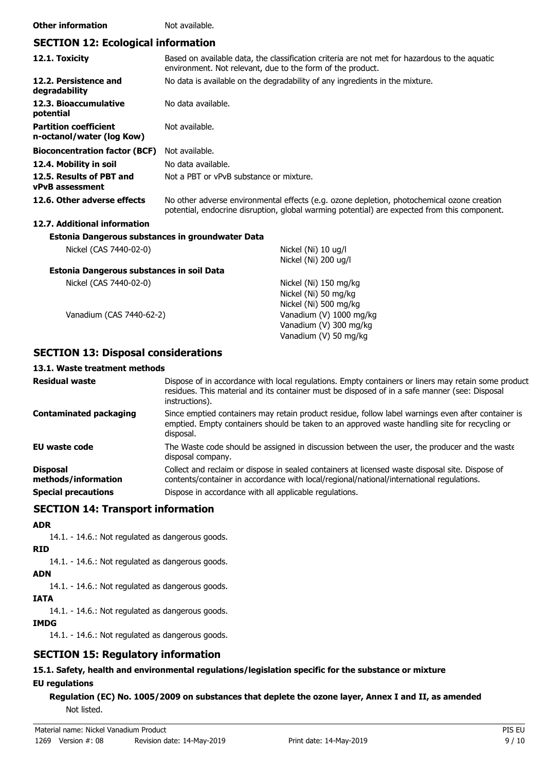### **Other information** Not available.

# **SECTION 12: Ecological information**

| 12.1. Toxicity                                            | Based on available data, the classification criteria are not met for hazardous to the aquatic<br>environment. Not relevant, due to the form of the product.                                |
|-----------------------------------------------------------|--------------------------------------------------------------------------------------------------------------------------------------------------------------------------------------------|
| 12.2. Persistence and<br>degradability                    | No data is available on the degradability of any ingredients in the mixture.                                                                                                               |
| 12.3. Bioaccumulative<br>potential                        | No data available.                                                                                                                                                                         |
| <b>Partition coefficient</b><br>n-octanol/water (log Kow) | Not available.                                                                                                                                                                             |
| <b>Bioconcentration factor (BCF)</b>                      | Not available.                                                                                                                                                                             |
| 12.4. Mobility in soil                                    | No data available.                                                                                                                                                                         |
| 12.5. Results of PBT and<br><b>vPvB</b> assessment        | Not a PBT or vPvB substance or mixture.                                                                                                                                                    |
| 12.6. Other adverse effects                               | No other adverse environmental effects (e.g. ozone depletion, photochemical ozone creation<br>potential, endocrine disruption, global warming potential) are expected from this component. |
| 12.7. Additional information                              |                                                                                                                                                                                            |
| Estonia Dangerous substances in groundwater Data          |                                                                                                                                                                                            |
| Nickel (CAS 7440-02-0)                                    | Nickel (Ni) 10 ug/l<br>Nickel (Ni) 200 ug/l                                                                                                                                                |
| Estonia Dangerous substances in soil Data                 |                                                                                                                                                                                            |
| Nickel (CAS 7440-02-0)                                    | Nickel (Ni) 150 mg/kg<br>Nickel (Ni) 50 mg/kg<br>Nickel (Ni) 500 mg/kg                                                                                                                     |
| Vanadium (CAS 7440-62-2)                                  | Vanadium (V) 1000 mg/kg<br>Vanadium (V) 300 mg/kg<br>Vanadium (V) 50 mg/kg                                                                                                                 |

# **SECTION 13: Disposal considerations**

# **13.1. Waste treatment methods**

| <b>Residual waste</b>                  | Dispose of in accordance with local regulations. Empty containers or liners may retain some product<br>residues. This material and its container must be disposed of in a safe manner (see: Disposal<br>instructions). |
|----------------------------------------|------------------------------------------------------------------------------------------------------------------------------------------------------------------------------------------------------------------------|
| <b>Contaminated packaging</b>          | Since emptied containers may retain product residue, follow label warnings even after container is<br>emptied. Empty containers should be taken to an approved waste handling site for recycling or<br>disposal.       |
| EU waste code                          | The Waste code should be assigned in discussion between the user, the producer and the waste<br>disposal company.                                                                                                      |
| <b>Disposal</b><br>methods/information | Collect and reclaim or dispose in sealed containers at licensed waste disposal site. Dispose of<br>contents/container in accordance with local/regional/national/international regulations.                            |
| <b>Special precautions</b>             | Dispose in accordance with all applicable regulations.                                                                                                                                                                 |

# **SECTION 14: Transport information**

### **ADR**

14.1. - 14.6.: Not regulated as dangerous goods.

## **RID**

14.1. - 14.6.: Not regulated as dangerous goods.

# **ADN**

14.1. - 14.6.: Not regulated as dangerous goods.

# **IATA**

14.1. - 14.6.: Not regulated as dangerous goods.

## **IMDG**

14.1. - 14.6.: Not regulated as dangerous goods.

# **SECTION 15: Regulatory information**

# **15.1. Safety, health and environmental regulations/legislation specific for the substance or mixture**

# **EU regulations**

**Regulation (EC) No. 1005/2009 on substances that deplete the ozone layer, Annex I and II, as amended** Not listed.